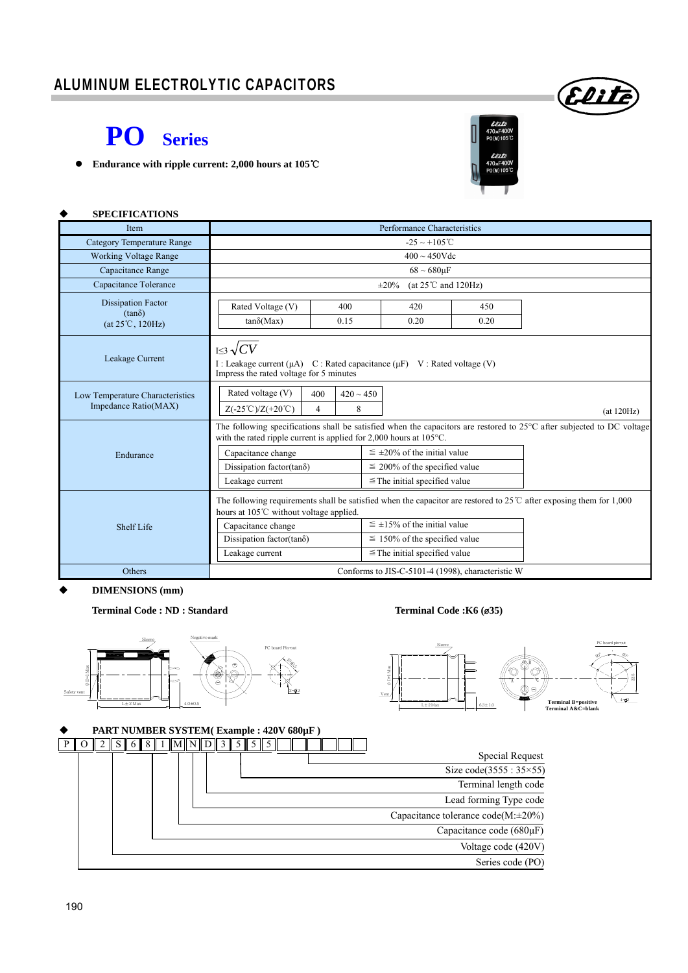### ALUMINUM ELECTROLYTIC CAPACITORS

# **PO Series**

**Endurance with ripple current: 2,000 hours at 105**℃



Elite

| <b>SPECIFICATIONS</b>                                          |                                                                                                                                                              |  |                                                                                                                  |  |                                                                                                                                  |  |  |  |  |  |  |
|----------------------------------------------------------------|--------------------------------------------------------------------------------------------------------------------------------------------------------------|--|------------------------------------------------------------------------------------------------------------------|--|----------------------------------------------------------------------------------------------------------------------------------|--|--|--|--|--|--|
| <b>Item</b>                                                    | Performance Characteristics                                                                                                                                  |  |                                                                                                                  |  |                                                                                                                                  |  |  |  |  |  |  |
| <b>Category Temperature Range</b>                              | $-25 \sim +105^{\circ}$ C                                                                                                                                    |  |                                                                                                                  |  |                                                                                                                                  |  |  |  |  |  |  |
| <b>Working Voltage Range</b>                                   | $400 \sim 450$ Vdc                                                                                                                                           |  |                                                                                                                  |  |                                                                                                                                  |  |  |  |  |  |  |
| Capacitance Range                                              | $68 \sim 680 \mu F$                                                                                                                                          |  |                                                                                                                  |  |                                                                                                                                  |  |  |  |  |  |  |
| Capacitance Tolerance                                          | (at $25^{\circ}$ C and 120Hz)<br>$\pm 20\%$                                                                                                                  |  |                                                                                                                  |  |                                                                                                                                  |  |  |  |  |  |  |
| <b>Dissipation Factor</b><br>$(tan\delta)$<br>(at 25°C, 120Hz) | Rated Voltage (V)<br>$tan\delta(Max)$                                                                                                                        |  |                                                                                                                  |  |                                                                                                                                  |  |  |  |  |  |  |
| Leakage Current                                                | $I \leq 3 \sqrt{CV}$<br>I : Leakage current ( $\mu$ A) C : Rated capacitance ( $\mu$ F) V : Rated voltage (V)<br>Impress the rated voltage for 5 minutes     |  |                                                                                                                  |  |                                                                                                                                  |  |  |  |  |  |  |
| Low Temperature Characteristics<br>Impedance Ratio(MAX)        | Rated voltage (V)<br>$420 \sim 450$<br>400<br>8<br>$Z(-25^{\circ}\text{C})/Z(+20^{\circ}\text{C})$<br>$\overline{4}$<br>(at 120Hz)                           |  |                                                                                                                  |  |                                                                                                                                  |  |  |  |  |  |  |
| Endurance                                                      | with the rated ripple current is applied for $2,000$ hours at $105^{\circ}$ C.<br>Capacitance change<br>Dissipation factor(tan $\delta$ )<br>Leakage current |  | $\leq \pm 20\%$ of the initial value<br>$\leq$ 200% of the specified value<br>$\leq$ The initial specified value |  | The following specifications shall be satisfied when the capacitors are restored to $25^{\circ}$ C after subjected to DC voltage |  |  |  |  |  |  |
| Shelf Life                                                     | hours at 105°C without voltage applied.<br>Capacitance change<br>Dissipation factor(tan $\delta$ )<br>Leakage current                                        |  | $\leq \pm 15\%$ of the initial value<br>$\leq$ 150% of the specified value<br>$\leq$ The initial specified value |  | The following requirements shall be satisfied when the capacitor are restored to $25^{\circ}$ after exposing them for 1,000      |  |  |  |  |  |  |
| Others                                                         | Conforms to JIS-C-5101-4 (1998), characteristic W                                                                                                            |  |                                                                                                                  |  |                                                                                                                                  |  |  |  |  |  |  |

 **DIMENSIONS (mm)** 

**Terminal Code : ND : Standard Terminal Code :K6 (**ø**35)** 

60°

 $4 - 2$ 

22.5